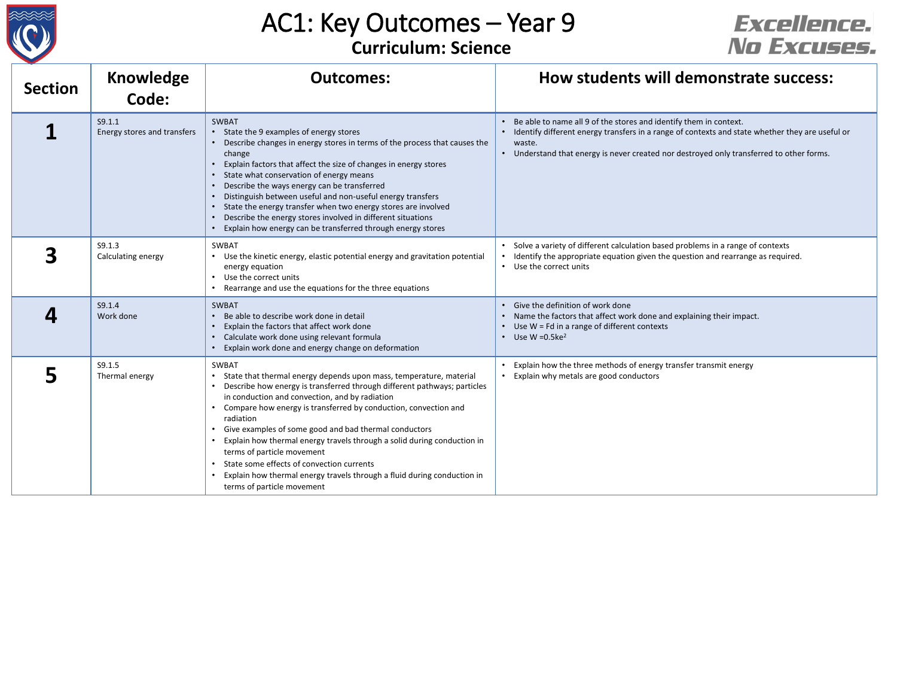

## AC1: Key Outcomes – Year 9

## **Curriculum: Science**

## Excellence. No Excuses.

| <b>Section</b> | <b>Knowledge</b><br>Code:             | <b>Outcomes:</b>                                                                                                                                                                                                                                                                                                                                                                                                                                                                                                                                                                                                                          | How students will demonstrate success:                                                                                                                                                                                                                                     |
|----------------|---------------------------------------|-------------------------------------------------------------------------------------------------------------------------------------------------------------------------------------------------------------------------------------------------------------------------------------------------------------------------------------------------------------------------------------------------------------------------------------------------------------------------------------------------------------------------------------------------------------------------------------------------------------------------------------------|----------------------------------------------------------------------------------------------------------------------------------------------------------------------------------------------------------------------------------------------------------------------------|
|                | S9.1.1<br>Energy stores and transfers | <b>SWBAT</b><br>State the 9 examples of energy stores<br>Describe changes in energy stores in terms of the process that causes the<br>change<br>Explain factors that affect the size of changes in energy stores<br>• State what conservation of energy means<br>Describe the ways energy can be transferred<br>Distinguish between useful and non-useful energy transfers<br>State the energy transfer when two energy stores are involved<br>Describe the energy stores involved in different situations<br>Explain how energy can be transferred through energy stores                                                                 | Be able to name all 9 of the stores and identify them in context.<br>Identify different energy transfers in a range of contexts and state whether they are useful or<br>waste.<br>• Understand that energy is never created nor destroyed only transferred to other forms. |
|                | S9.1.3<br>Calculating energy          | <b>SWBAT</b><br>• Use the kinetic energy, elastic potential energy and gravitation potential<br>energy equation<br>• Use the correct units<br>Rearrange and use the equations for the three equations                                                                                                                                                                                                                                                                                                                                                                                                                                     | Solve a variety of different calculation based problems in a range of contexts<br>• Identify the appropriate equation given the question and rearrange as required.<br>• Use the correct units                                                                             |
|                | S9.1.4<br>Work done                   | <b>SWBAT</b><br>Be able to describe work done in detail<br>Explain the factors that affect work done<br>Calculate work done using relevant formula<br>$\bullet$<br>Explain work done and energy change on deformation                                                                                                                                                                                                                                                                                                                                                                                                                     | • Give the definition of work done<br>• Name the factors that affect work done and explaining their impact.<br>• Use W = Fd in a range of different contexts<br>• Use W = $0.5ke^2$                                                                                        |
|                | S9.1.5<br>Thermal energy              | <b>SWBAT</b><br>State that thermal energy depends upon mass, temperature, material<br>Describe how energy is transferred through different pathways; particles<br>in conduction and convection, and by radiation<br>• Compare how energy is transferred by conduction, convection and<br>radiation<br>• Give examples of some good and bad thermal conductors<br>Explain how thermal energy travels through a solid during conduction in<br>terms of particle movement<br>State some effects of convection currents<br>$\bullet$<br>Explain how thermal energy travels through a fluid during conduction in<br>terms of particle movement | Explain how the three methods of energy transfer transmit energy<br>• Explain why metals are good conductors                                                                                                                                                               |